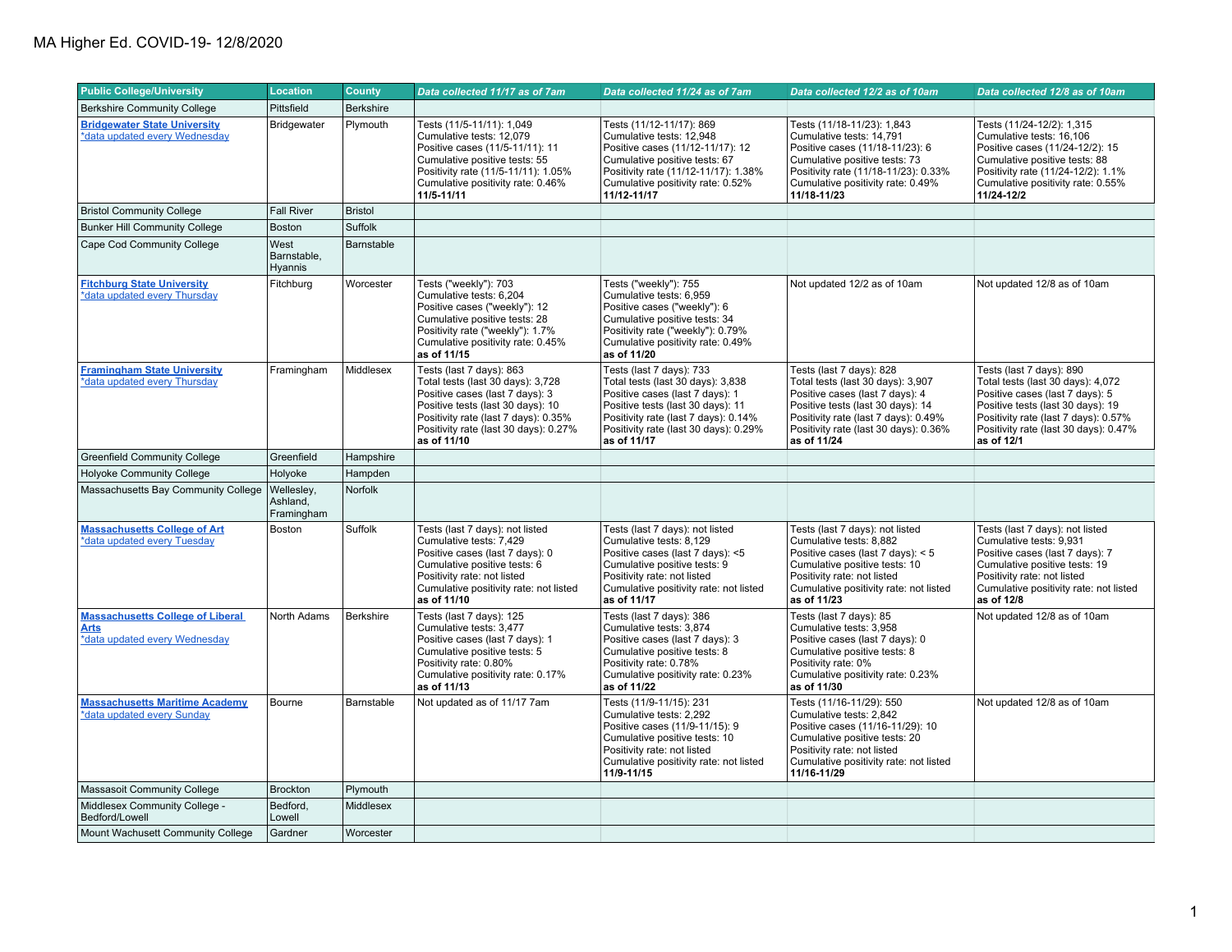| <b>Public College/University</b>                                                        | <b>Location</b>                      | <b>County</b>    | Data collected 11/17 as of 7am                                                                                                                                                                                                        | Data collected 11/24 as of 7am                                                                                                                                                                                                        | Data collected 12/2 as of 10am                                                                                                                                                                                                        | Data collected 12/8 as of 10am                                                                                                                                                                                                       |
|-----------------------------------------------------------------------------------------|--------------------------------------|------------------|---------------------------------------------------------------------------------------------------------------------------------------------------------------------------------------------------------------------------------------|---------------------------------------------------------------------------------------------------------------------------------------------------------------------------------------------------------------------------------------|---------------------------------------------------------------------------------------------------------------------------------------------------------------------------------------------------------------------------------------|--------------------------------------------------------------------------------------------------------------------------------------------------------------------------------------------------------------------------------------|
| <b>Berkshire Community College</b>                                                      | Pittsfield                           | Berkshire        |                                                                                                                                                                                                                                       |                                                                                                                                                                                                                                       |                                                                                                                                                                                                                                       |                                                                                                                                                                                                                                      |
| <b>Bridgewater State University</b><br>*data updated every Wednesday                    | <b>Bridgewater</b>                   | Plymouth         | Tests (11/5-11/11): 1,049<br>Cumulative tests: 12,079<br>Positive cases (11/5-11/11): 11<br>Cumulative positive tests: 55<br>Positivity rate (11/5-11/11): 1.05%<br>Cumulative positivity rate: 0.46%<br>11/5-11/11                   | Tests (11/12-11/17): 869<br>Cumulative tests: 12,948<br>Positive cases (11/12-11/17): 12<br>Cumulative positive tests: 67<br>Positivity rate (11/12-11/17): 1.38%<br>Cumulative positivity rate: 0.52%<br>11/12-11/17                 | Tests (11/18-11/23): 1,843<br>Cumulative tests: 14,791<br>Positive cases (11/18-11/23): 6<br>Cumulative positive tests: 73<br>Positivity rate (11/18-11/23): 0.33%<br>Cumulative positivity rate: 0.49%<br>11/18-11/23                | Tests (11/24-12/2): 1,315<br>Cumulative tests: 16,106<br>Positive cases (11/24-12/2): 15<br>Cumulative positive tests: 88<br>Positivity rate (11/24-12/2): 1.1%<br>Cumulative positivity rate: 0.55%<br>11/24-12/2                   |
| <b>Bristol Community College</b>                                                        | <b>Fall River</b>                    | <b>Bristol</b>   |                                                                                                                                                                                                                                       |                                                                                                                                                                                                                                       |                                                                                                                                                                                                                                       |                                                                                                                                                                                                                                      |
| <b>Bunker Hill Community College</b>                                                    | <b>Boston</b>                        | Suffolk          |                                                                                                                                                                                                                                       |                                                                                                                                                                                                                                       |                                                                                                                                                                                                                                       |                                                                                                                                                                                                                                      |
| Cape Cod Community College                                                              | West<br>Barnstable,<br>Hyannis       | Barnstable       |                                                                                                                                                                                                                                       |                                                                                                                                                                                                                                       |                                                                                                                                                                                                                                       |                                                                                                                                                                                                                                      |
| <b>Fitchburg State University</b><br>*data updated every Thursday                       | Fitchburg                            | Worcester        | Tests ("weekly"): 703<br>Cumulative tests: 6.204<br>Positive cases ("weekly"): 12<br>Cumulative positive tests: 28<br>Positivity rate ("weekly"): 1.7%<br>Cumulative positivity rate: 0.45%<br>as of 11/15                            | Tests ("weekly"): 755<br>Cumulative tests: 6.959<br>Positive cases ("weekly"): 6<br>Cumulative positive tests: 34<br>Positivity rate ("weekly"): 0.79%<br>Cumulative positivity rate: 0.49%<br>as of 11/20                            | Not updated 12/2 as of 10am                                                                                                                                                                                                           | Not updated 12/8 as of 10am                                                                                                                                                                                                          |
| <b>Framingham State University</b><br>*data updated every Thursday                      | Framingham                           | Middlesex        | Tests (last 7 days): 863<br>Total tests (last 30 days): 3,728<br>Positive cases (last 7 days): 3<br>Positive tests (last 30 days): 10<br>Positivity rate (last 7 days): 0.35%<br>Positivity rate (last 30 days): 0.27%<br>as of 11/10 | Tests (last 7 days): 733<br>Total tests (last 30 days): 3,838<br>Positive cases (last 7 days): 1<br>Positive tests (last 30 days): 11<br>Positivity rate (last 7 days): 0.14%<br>Positivity rate (last 30 days): 0.29%<br>as of 11/17 | Tests (last 7 days): 828<br>Total tests (last 30 days): 3,907<br>Positive cases (last 7 days): 4<br>Positive tests (last 30 days): 14<br>Positivity rate (last 7 days): 0.49%<br>Positivity rate (last 30 days): 0.36%<br>as of 11/24 | Tests (last 7 days): 890<br>Total tests (last 30 days): 4,072<br>Positive cases (last 7 days): 5<br>Positive tests (last 30 days): 19<br>Positivity rate (last 7 days): 0.57%<br>Positivity rate (last 30 days): 0.47%<br>as of 12/1 |
| <b>Greenfield Community College</b>                                                     | Greenfield                           | Hampshire        |                                                                                                                                                                                                                                       |                                                                                                                                                                                                                                       |                                                                                                                                                                                                                                       |                                                                                                                                                                                                                                      |
| <b>Holyoke Community College</b>                                                        | Holyoke                              | Hampden          |                                                                                                                                                                                                                                       |                                                                                                                                                                                                                                       |                                                                                                                                                                                                                                       |                                                                                                                                                                                                                                      |
| Massachusetts Bay Community College                                                     | Wellesley,<br>Ashland.<br>Framingham | Norfolk          |                                                                                                                                                                                                                                       |                                                                                                                                                                                                                                       |                                                                                                                                                                                                                                       |                                                                                                                                                                                                                                      |
| <b>Massachusetts College of Art</b><br>*data updated every Tuesday                      | Boston                               | Suffolk          | Tests (last 7 days): not listed<br>Cumulative tests: 7,429<br>Positive cases (last 7 days): 0<br>Cumulative positive tests: 6<br>Positivity rate: not listed<br>Cumulative positivity rate: not listed<br>as of 11/10                 | Tests (last 7 days): not listed<br>Cumulative tests: 8,129<br>Positive cases (last 7 days): <5<br>Cumulative positive tests: 9<br>Positivity rate: not listed<br>Cumulative positivity rate: not listed<br>as of 11/17                | Tests (last 7 days): not listed<br>Cumulative tests: 8,882<br>Positive cases (last 7 days): < 5<br>Cumulative positive tests: 10<br>Positivity rate: not listed<br>Cumulative positivity rate: not listed<br>as of 11/23              | Tests (last 7 days): not listed<br>Cumulative tests: 9,931<br>Positive cases (last 7 days): 7<br>Cumulative positive tests: 19<br>Positivity rate: not listed<br>Cumulative positivity rate: not listed<br>as of 12/8                |
| <b>Massachusetts College of Liberal</b><br><b>Arts</b><br>*data updated every Wednesday | North Adams                          | <b>Berkshire</b> | Tests (last 7 days): 125<br>Cumulative tests: 3,477<br>Positive cases (last 7 days): 1<br>Cumulative positive tests: 5<br>Positivity rate: 0.80%<br>Cumulative positivity rate: 0.17%<br>as of 11/13                                  | Tests (last 7 days): 386<br>Cumulative tests: 3,874<br>Positive cases (last 7 days): 3<br>Cumulative positive tests: 8<br>Positivity rate: 0.78%<br>Cumulative positivity rate: 0.23%<br>as of 11/22                                  | Tests (last 7 days): 85<br>Cumulative tests: 3,958<br>Positive cases (last 7 days): 0<br>Cumulative positive tests: 8<br>Positivity rate: 0%<br>Cumulative positivity rate: 0.23%<br>as of 11/30                                      | Not updated 12/8 as of 10am                                                                                                                                                                                                          |
| <b>Massachusetts Maritime Academy</b><br>*data updated every Sunday                     | Bourne                               | Barnstable       | Not updated as of 11/17 7am                                                                                                                                                                                                           | Tests (11/9-11/15): 231<br>Cumulative tests: 2.292<br>Positive cases (11/9-11/15): 9<br>Cumulative positive tests: 10<br>Positivity rate: not listed<br>Cumulative positivity rate: not listed<br>11/9-11/15                          | Tests (11/16-11/29): 550<br>Cumulative tests: 2.842<br>Positive cases (11/16-11/29): 10<br>Cumulative positive tests: 20<br>Positivity rate: not listed<br>Cumulative positivity rate: not listed<br>11/16-11/29                      | Not updated 12/8 as of 10am                                                                                                                                                                                                          |
| Massasoit Community College                                                             | <b>Brockton</b>                      | Plymouth         |                                                                                                                                                                                                                                       |                                                                                                                                                                                                                                       |                                                                                                                                                                                                                                       |                                                                                                                                                                                                                                      |
| Middlesex Community College -<br>Bedford/Lowell                                         | Bedford,<br>Lowell                   | Middlesex        |                                                                                                                                                                                                                                       |                                                                                                                                                                                                                                       |                                                                                                                                                                                                                                       |                                                                                                                                                                                                                                      |
| Mount Wachusett Community College                                                       | Gardner                              | Worcester        |                                                                                                                                                                                                                                       |                                                                                                                                                                                                                                       |                                                                                                                                                                                                                                       |                                                                                                                                                                                                                                      |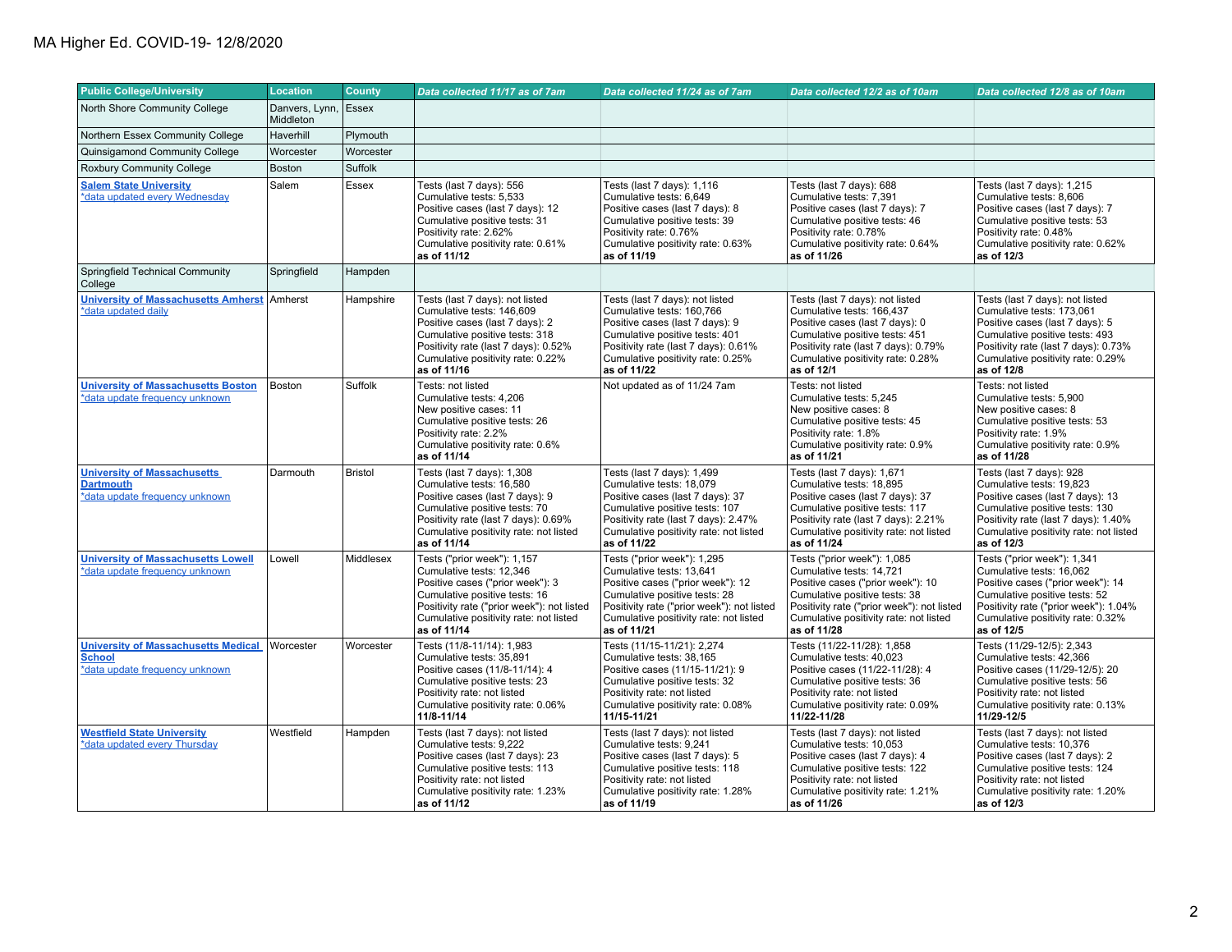| <b>Public College/University</b>                                                              | <b>Location</b>             | <b>County</b>  | Data collected 11/17 as of 7am                                                                                                                                                                                                      | Data collected 11/24 as of 7am                                                                                                                                                                                                       | Data collected 12/2 as of 10am                                                                                                                                                                                                       | Data collected 12/8 as of 10am                                                                                                                                                                                               |
|-----------------------------------------------------------------------------------------------|-----------------------------|----------------|-------------------------------------------------------------------------------------------------------------------------------------------------------------------------------------------------------------------------------------|--------------------------------------------------------------------------------------------------------------------------------------------------------------------------------------------------------------------------------------|--------------------------------------------------------------------------------------------------------------------------------------------------------------------------------------------------------------------------------------|------------------------------------------------------------------------------------------------------------------------------------------------------------------------------------------------------------------------------|
| North Shore Community College                                                                 | Danvers, Lynn,<br>Middleton | Essex          |                                                                                                                                                                                                                                     |                                                                                                                                                                                                                                      |                                                                                                                                                                                                                                      |                                                                                                                                                                                                                              |
| Northern Essex Community College                                                              | Haverhill                   | Plymouth       |                                                                                                                                                                                                                                     |                                                                                                                                                                                                                                      |                                                                                                                                                                                                                                      |                                                                                                                                                                                                                              |
| Quinsigamond Community College                                                                | Worcester                   | Worcester      |                                                                                                                                                                                                                                     |                                                                                                                                                                                                                                      |                                                                                                                                                                                                                                      |                                                                                                                                                                                                                              |
| <b>Roxbury Community College</b>                                                              | <b>Boston</b>               | Suffolk        |                                                                                                                                                                                                                                     |                                                                                                                                                                                                                                      |                                                                                                                                                                                                                                      |                                                                                                                                                                                                                              |
| <b>Salem State University</b><br>*data updated every Wednesday                                | Salem                       | Essex          | Tests (last 7 days): 556<br>Cumulative tests: 5,533<br>Positive cases (last 7 days): 12<br>Cumulative positive tests: 31<br>Positivity rate: 2.62%<br>Cumulative positivity rate: 0.61%<br>as of 11/12                              | Tests (last 7 days): 1,116<br>Cumulative tests: 6,649<br>Positive cases (last 7 days): 8<br>Cumulative positive tests: 39<br>Positivity rate: 0.76%<br>Cumulative positivity rate: 0.63%<br>as of 11/19                              | Tests (last 7 days): 688<br>Cumulative tests: 7,391<br>Positive cases (last 7 days): 7<br>Cumulative positive tests: 46<br>Positivity rate: 0.78%<br>Cumulative positivity rate: 0.64%<br>as of 11/26                                | Tests (last 7 days): 1,215<br>Cumulative tests: 8,606<br>Positive cases (last 7 days): 7<br>Cumulative positive tests: 53<br>Positivity rate: 0.48%<br>Cumulative positivity rate: 0.62%<br>as of 12/3                       |
| Springfield Technical Community<br>College                                                    | Springfield                 | Hampden        |                                                                                                                                                                                                                                     |                                                                                                                                                                                                                                      |                                                                                                                                                                                                                                      |                                                                                                                                                                                                                              |
| <b>University of Massachusetts Amherst</b><br>*data updated daily                             | Amherst                     | Hampshire      | Tests (last 7 days): not listed<br>Cumulative tests: 146,609<br>Positive cases (last 7 days): 2<br>Cumulative positive tests: 318<br>Positivity rate (last 7 days): 0.52%<br>Cumulative positivity rate: 0.22%<br>as of 11/16       | Tests (last 7 days): not listed<br>Cumulative tests: 160,766<br>Positive cases (last 7 days): 9<br>Cumulative positive tests: 401<br>Positivity rate (last 7 days): 0.61%<br>Cumulative positivity rate: 0.25%<br>as of 11/22        | Tests (last 7 days): not listed<br>Cumulative tests: 166,437<br>Positive cases (last 7 days): 0<br>Cumulative positive tests: 451<br>Positivity rate (last 7 days): 0.79%<br>Cumulative positivity rate: 0.28%<br>as of 12/1         | Tests (last 7 days): not listed<br>Cumulative tests: 173,061<br>Positive cases (last 7 days): 5<br>Cumulative positive tests: 493<br>Positivity rate (last 7 days): 0.73%<br>Cumulative positivity rate: 0.29%<br>as of 12/8 |
| <b>University of Massachusetts Boston</b><br>*data update frequency unknown                   | Boston                      | Suffolk        | Tests: not listed<br>Cumulative tests: 4,206<br>New positive cases: 11<br>Cumulative positive tests: 26<br>Positivity rate: 2.2%<br>Cumulative positivity rate: 0.6%<br>as of 11/14                                                 | Not updated as of 11/24 7am                                                                                                                                                                                                          | Tests: not listed<br>Cumulative tests: 5.245<br>New positive cases: 8<br>Cumulative positive tests: 45<br>Positivity rate: 1.8%<br>Cumulative positivity rate: 0.9%<br>as of 11/21                                                   | Tests: not listed<br>Cumulative tests: 5,900<br>New positive cases: 8<br>Cumulative positive tests: 53<br>Positivity rate: 1.9%<br>Cumulative positivity rate: 0.9%<br>as of 11/28                                           |
| <b>University of Massachusetts</b><br><b>Dartmouth</b><br>*data update frequency unknown      | Darmouth                    | <b>Bristol</b> | Tests (last 7 days): 1,308<br>Cumulative tests: 16,580<br>Positive cases (last 7 days): 9<br>Cumulative positive tests: 70<br>Positivity rate (last 7 days): 0.69%<br>Cumulative positivity rate: not listed<br>as of 11/14         | Tests (last 7 days): 1,499<br>Cumulative tests: 18,079<br>Positive cases (last 7 days): 37<br>Cumulative positive tests: 107<br>Positivity rate (last 7 days): 2.47%<br>Cumulative positivity rate: not listed<br>as of 11/22        | Tests (last 7 days): 1,671<br>Cumulative tests: 18,895<br>Positive cases (last 7 days): 37<br>Cumulative positive tests: 117<br>Positivity rate (last 7 days): 2.21%<br>Cumulative positivity rate: not listed<br>as of 11/24        | Tests (last 7 days): 928<br>Cumulative tests: 19,823<br>Positive cases (last 7 days): 13<br>Cumulative positive tests: 130<br>Positivity rate (last 7 days): 1.40%<br>Cumulative positivity rate: not listed<br>as of 12/3   |
| <b>University of Massachusetts Lowell</b><br>*data update frequency unknown                   | Lowell                      | Middlesex      | Tests ("prior week"): 1,157<br>Cumulative tests: 12,346<br>Positive cases ("prior week"): 3<br>Cumulative positive tests: 16<br>Positivity rate ("prior week"): not listed<br>Cumulative positivity rate: not listed<br>as of 11/14 | Tests ("prior week"): 1,295<br>Cumulative tests: 13,641<br>Positive cases ("prior week"): 12<br>Cumulative positive tests: 28<br>Positivity rate ("prior week"): not listed<br>Cumulative positivity rate: not listed<br>as of 11/21 | Tests ("prior week"): 1,085<br>Cumulative tests: 14,721<br>Positive cases ("prior week"): 10<br>Cumulative positive tests: 38<br>Positivity rate ("prior week"): not listed<br>Cumulative positivity rate: not listed<br>as of 11/28 | Tests ("prior week"): 1,341<br>Cumulative tests: 16,062<br>Positive cases ("prior week"): 14<br>Cumulative positive tests: 52<br>Positivity rate ("prior week"): 1.04%<br>Cumulative positivity rate: 0.32%<br>as of 12/5    |
| <b>University of Massachusetts Medical</b><br><b>School</b><br>*data update frequency unknown | Worcester                   | Worcester      | Tests (11/8-11/14): 1,983<br>Cumulative tests: 35.891<br>Positive cases (11/8-11/14): 4<br>Cumulative positive tests: 23<br>Positivity rate: not listed<br>Cumulative positivity rate: 0.06%<br>11/8-11/14                          | Tests (11/15-11/21): 2,274<br>Cumulative tests: 38.165<br>Positive cases (11/15-11/21): 9<br>Cumulative positive tests: 32<br>Positivity rate: not listed<br>Cumulative positivity rate: 0.08%<br>11/15-11/21                        | Tests (11/22-11/28): 1,858<br>Cumulative tests: 40.023<br>Positive cases (11/22-11/28): 4<br>Cumulative positive tests: 36<br>Positivity rate: not listed<br>Cumulative positivity rate: 0.09%<br>11/22-11/28                        | Tests (11/29-12/5): 2,343<br>Cumulative tests: 42.366<br>Positive cases (11/29-12/5): 20<br>Cumulative positive tests: 56<br>Positivity rate: not listed<br>Cumulative positivity rate: 0.13%<br>11/29-12/5                  |
| <b>Westfield State University</b><br>*data updated every Thursday                             | Westfield                   | Hampden        | Tests (last 7 days): not listed<br>Cumulative tests: 9,222<br>Positive cases (last 7 days): 23<br>Cumulative positive tests: 113<br>Positivity rate: not listed<br>Cumulative positivity rate: 1.23%<br>as of 11/12                 | Tests (last 7 days): not listed<br>Cumulative tests: 9,241<br>Positive cases (last 7 days): 5<br>Cumulative positive tests: 118<br>Positivity rate: not listed<br>Cumulative positivity rate: 1.28%<br>as of 11/19                   | Tests (last 7 days): not listed<br>Cumulative tests: 10,053<br>Positive cases (last 7 days): 4<br>Cumulative positive tests: 122<br>Positivity rate: not listed<br>Cumulative positivity rate: 1.21%<br>as of 11/26                  | Tests (last 7 days): not listed<br>Cumulative tests: 10,376<br>Positive cases (last 7 days): 2<br>Cumulative positive tests: 124<br>Positivity rate: not listed<br>Cumulative positivity rate: 1.20%<br>as of 12/3           |